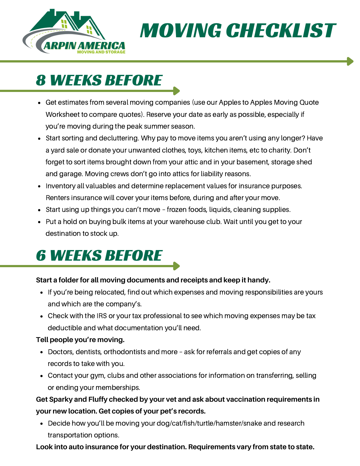

MOVING CHECKLIST

## 8 WEEKS BEFORE

- Get estimates from several moving companies (use our Apples to Apples Moving Quote Worksheet to compare quotes). Reserve your date as early as possible, especially if you're moving during the peak summer season.
- Start sorting and decluttering. Why pay to move items you aren't using any longer? Have a yard sale or donate your unwanted clothes, toys, kitchen items, etc to charity. Don't forget to sort items brought down from your attic and in your basement, storage shed and garage. Moving crews don't go into attics for liability reasons.
- Inventory all valuables and determine replacement values for insurance purposes. Renters insurance will cover your items before, during and after your move.
- Start using up things you can't move frozen foods, liquids, cleaning supplies.
- Put a hold on buying bulk items at your warehouse club. Wait until you get to your destination to stock up.

# 6 WEEKS BEFORE

### **Start a folder for all moving documents and receipts and keep it handy.**

- If you're being relocated, find out which expenses and moving responsibilities are yours and which are the company's.
- Check with the IRS or your tax professional to see which moving expenses may be tax deductible and what documentation you'll need.

#### **Tell people you're moving.**

- Doctors, dentists, orthodontists and more ask for referrals and get copies of any records to take with you.
- Contact your gym, clubs and other associations for information on transferring, selling or ending your memberships.

### **Get Sparky and Fluffy checked by your vet and ask about vaccination requirements in your new location. Get copies of your pet's records.**

Decide how you'll be moving your dog/cat/fish/turtle/hamster/snake and research transportation options.

#### **Look into auto insurance for your destination. Requirements vary from state to state.**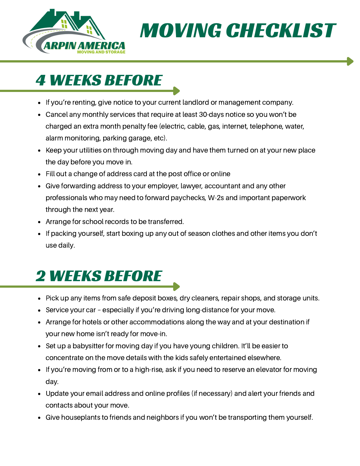

MOVING CHECKLIST

### 4 WEEKS BEFORE

- If you're renting, give notice to your current landlord or management company.
- Cancel any monthly services that require at least 30-days notice so you won't be charged an extra month penalty fee (electric, cable, gas, internet, telephone, water, alarm monitoring, parking garage, etc).
- Keep your utilities on through moving day and have them turned on at your new place the day before you move in.
- Fill out a change of address card at the post office or online
- Give forwarding address to your employer, lawyer, accountant and any other professionals who may need to forward paychecks, W-2s and important paperwork through the next year.
- Arrange for school records to be transferred.
- If packing yourself, start boxing up any out of season clothes and other items you don't use daily.

## 2 WEEKS BEFORE

- Pick up any items from safe deposit boxes, dry cleaners, repair shops, and storage units.
- Service your car especially if you're driving long-distance for your move.
- Arrange for hotels or other accommodations along the way and at your destination if your new home isn't ready for move-in.
- Set up a babysitter for moving day if you have young children. It'll be easier to concentrate on the move details with the kids safely entertained elsewhere.
- If you're moving from or to a high-rise, ask if you need to reserve an elevator for moving day.
- Update your email address and online profiles (if necessary) and alert your friends and contacts about your move.
- Give houseplants to friends and neighbors if you won't be transporting them yourself.